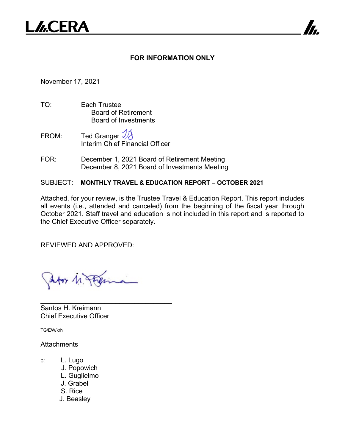

## **FOR INFORMATION ONLY**

7

November 17, 2021

- TO: Each Trustee Board of Retirement Board of Investments
- FROM: Ted Granger  $\mathcal{V}$ Interim Chief Financial Officer
- FOR: December 1, 2021 Board of Retirement Meeting December 8, 2021 Board of Investments Meeting

SUBJECT: **MONTHLY TRAVEL & EDUCATION REPORT – OCTOBER 2021**

Attached, for your review, is the Trustee Travel & Education Report. This report includes all events (i.e., attended and canceled) from the beginning of the fiscal year through October 2021. Staff travel and education is not included in this report and is reported to the Chief Executive Officer separately.

REVIEWED AND APPROVED:

Ator M. Pag

\_\_\_\_\_\_\_\_\_\_\_\_\_\_\_\_\_\_\_\_\_\_\_\_\_\_\_\_\_\_\_\_\_\_\_

Santos H. Kreimann Chief Executive Officer

TG/EW/krh

**Attachments** 

- c: L. Lugo
	- J. Popowich
	- L. Guglielmo
	- J. Grabel
	- S. Rice
	- J. Beasley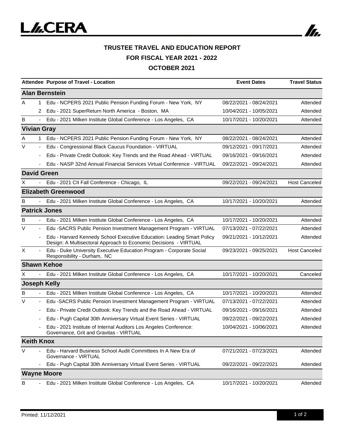

|                       |                          | Attendee Purpose of Travel - Location                                                                                                      | <b>Event Dates</b>      | <b>Travel Status</b> |  |  |  |
|-----------------------|--------------------------|--------------------------------------------------------------------------------------------------------------------------------------------|-------------------------|----------------------|--|--|--|
| <b>Alan Bernstein</b> |                          |                                                                                                                                            |                         |                      |  |  |  |
| A                     | 1.                       | Edu - NCPERS 2021 Public Pension Funding Forum - New York, NY                                                                              | 08/22/2021 - 08/24/2021 | Attended             |  |  |  |
|                       | 2                        | Edu - 2021 SuperReturn North America - Boston, MA                                                                                          | 10/04/2021 - 10/05/2021 | Attended             |  |  |  |
| B                     | $\blacksquare$           | Edu - 2021 Milken Institute Global Conference - Los Angeles, CA                                                                            | 10/17/2021 - 10/20/2021 | Attended             |  |  |  |
| <b>Vivian Gray</b>    |                          |                                                                                                                                            |                         |                      |  |  |  |
| A                     | $\mathbf{1}$             | Edu - NCPERS 2021 Public Pension Funding Forum - New York, NY                                                                              | 08/22/2021 - 08/24/2021 | Attended             |  |  |  |
| $\vee$                | $\overline{\phantom{a}}$ | Edu - Congressional Black Caucus Foundation - VIRTUAL                                                                                      | 09/12/2021 - 09/17/2021 | Attended             |  |  |  |
|                       |                          | Edu - Private Credit Outlook: Key Trends and the Road Ahead - VIRTUAL                                                                      | 09/16/2021 - 09/16/2021 | Attended             |  |  |  |
|                       |                          | Edu - NASP 32nd Annual Financial Services Virtual Conference - VIRTUAL                                                                     | 09/22/2021 - 09/24/2021 | Attended             |  |  |  |
| <b>David Green</b>    |                          |                                                                                                                                            |                         |                      |  |  |  |
| X                     |                          | Edu - 2021 CII Fall Conference - Chicago, IL                                                                                               | 09/22/2021 - 09/24/2021 | <b>Host Canceled</b> |  |  |  |
|                       |                          | <b>Elizabeth Greenwood</b>                                                                                                                 |                         |                      |  |  |  |
| B                     |                          | Edu - 2021 Milken Institute Global Conference - Los Angeles, CA                                                                            | 10/17/2021 - 10/20/2021 | Attended             |  |  |  |
| <b>Patrick Jones</b>  |                          |                                                                                                                                            |                         |                      |  |  |  |
| B                     |                          | Edu - 2021 Milken Institute Global Conference - Los Angeles, CA                                                                            | 10/17/2021 - 10/20/2021 | Attended             |  |  |  |
| V                     | $\blacksquare$           | Edu -SACRS Public Pension Investment Management Program - VIRTUAL                                                                          | 07/13/2021 - 07/22/2021 | Attended             |  |  |  |
|                       |                          | Edu - Harvard Kennedy School Executive Education: Leading Smart Policy<br>Design: A Multisectoral Approach to Economic Decisions - VIRTUAL | 09/21/2021 - 10/12/2021 | Attended             |  |  |  |
| X                     |                          | Edu - Duke University Executive Education Program - Corporate Social<br>Responsibility - Durham, NC                                        | 09/23/2021 - 09/25/2021 | <b>Host Canceled</b> |  |  |  |
| <b>Shawn Kehoe</b>    |                          |                                                                                                                                            |                         |                      |  |  |  |
| X                     |                          | Edu - 2021 Milken Institute Global Conference - Los Angeles, CA                                                                            | 10/17/2021 - 10/20/2021 | Canceled             |  |  |  |
| <b>Joseph Kelly</b>   |                          |                                                                                                                                            |                         |                      |  |  |  |
| в                     |                          | Edu - 2021 Milken Institute Global Conference - Los Angeles, CA                                                                            | 10/17/2021 - 10/20/2021 | Attended             |  |  |  |
| V                     |                          | Edu -SACRS Public Pension Investment Management Program - VIRTUAL                                                                          | 07/13/2021 - 07/22/2021 | Attended             |  |  |  |
|                       |                          | Edu - Private Credit Outlook: Key Trends and the Road Ahead - VIRTUAL                                                                      | 09/16/2021 - 09/16/2021 | Attended             |  |  |  |
|                       |                          | Edu - Pugh Capital 30th Anniversary Virtual Event Series - VIRTUAL                                                                         | 09/22/2021 - 09/22/2021 | Attended             |  |  |  |
|                       |                          | Edu - 2021 Institute of Internal Auditors Los Angeles Conference:<br>Governance, Grit and Gravitas - VIRTUAL                               | 10/04/2021 - 10/06/2021 | Attended             |  |  |  |
| <b>Keith Knox</b>     |                          |                                                                                                                                            |                         |                      |  |  |  |
| V                     |                          | Edu - Harvard Business School Audit Committees In A New Era of<br>Governance - VIRTUAL                                                     | 07/21/2021 - 07/23/2021 | Attended             |  |  |  |
|                       |                          | Edu - Pugh Capital 30th Anniversary Virtual Event Series - VIRTUAL                                                                         | 09/22/2021 - 09/22/2021 | Attended             |  |  |  |
| <b>Wayne Moore</b>    |                          |                                                                                                                                            |                         |                      |  |  |  |
| B                     |                          | Edu - 2021 Milken Institute Global Conference - Los Angeles, CA                                                                            | 10/17/2021 - 10/20/2021 | Attended             |  |  |  |

In.